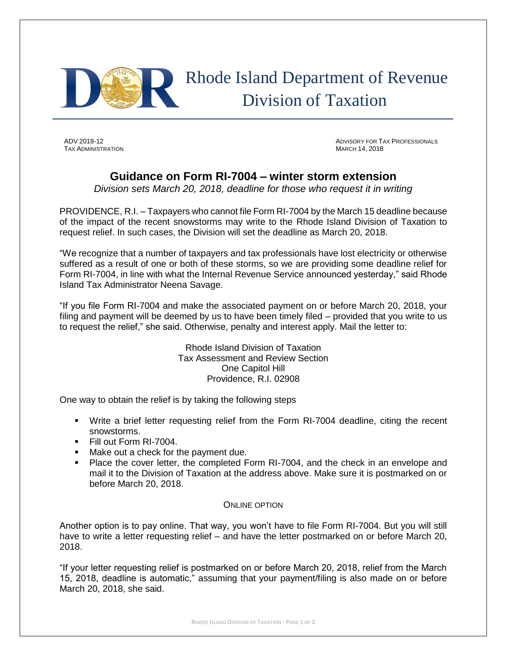

## Rhode Island Department of Revenue Division of Taxation

**TAX ADMINISTRATION** 

ADV 2018-12 ADVISORY FOR TAX PROFESSIONALS

## **Guidance on Form RI-7004 – winter storm extension**

*Division sets March 20, 2018, deadline for those who request it in writing* 

PROVIDENCE, R.I. – Taxpayers who cannot file Form RI-7004 by the March 15 deadline because of the impact of the recent snowstorms may write to the Rhode Island Division of Taxation to request relief. In such cases, the Division will set the deadline as March 20, 2018.

"We recognize that a number of taxpayers and tax professionals have lost electricity or otherwise suffered as a result of one or both of these storms, so we are providing some deadline relief for Form RI-7004, in line with what the Internal Revenue Service announced yesterday," said Rhode Island Tax Administrator Neena Savage.

"If you file Form RI-7004 and make the associated payment on or before March 20, 2018, your filing and payment will be deemed by us to have been timely filed – provided that you write to us to request the relief," she said. Otherwise, penalty and interest apply. Mail the letter to:

> Rhode Island Division of Taxation Tax Assessment and Review Section One Capitol Hill Providence, R.I. 02908

One way to obtain the relief is by taking the following steps

- Write a brief letter requesting relief from the Form RI-7004 deadline, citing the recent snowstorms.
- Fill out Form RI-7004.
- Make out a check for the payment due.
- Place the cover letter, the completed Form RI-7004, and the check in an envelope and mail it to the Division of Taxation at the address above. Make sure it is postmarked on or before March 20, 2018.

## ONLINE OPTION

Another option is to pay online. That way, you won't have to file Form RI-7004. But you will still have to write a letter requesting relief – and have the letter postmarked on or before March 20, 2018.

"If your letter requesting relief is postmarked on or before March 20, 2018, relief from the March 15, 2018, deadline is automatic," assuming that your payment/filing is also made on or before March 20, 2018, she said.